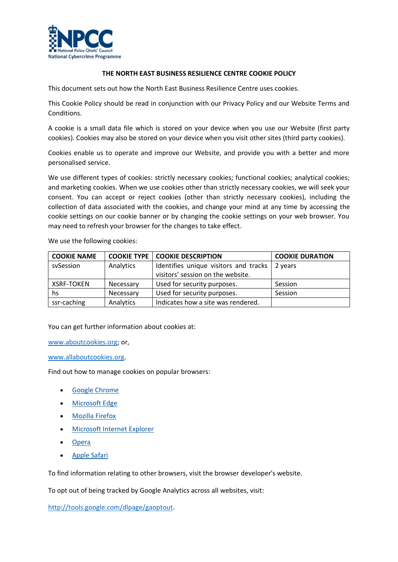

## **THE NORTH EAST BUSINESS RESILIENCE CENTRE COOKIE POLICY**

This document sets out how the North East Business Resilience Centre uses cookies.

This Cookie Policy should be read in conjunction with our Privacy Policy and our Website Terms and Conditions.

A cookie is a small data file which is stored on your device when you use our Website (first party cookies). Cookies may also be stored on your device when you visit other sites (third party cookies).

Cookies enable us to operate and improve our Website, and provide you with a better and more personalised service.

We use different types of cookies: strictly necessary cookies; functional cookies; analytical cookies; and marketing cookies. When we use cookies other than strictly necessary cookies, we will seek your consent. You can accept or reject cookies (other than strictly necessary cookies), including the collection of data associated with the cookies, and change your mind at any time by accessing the cookie settings on our cookie banner or by changing the cookie settings on your web browser. You may need to refresh your browser for the changes to take effect.

We use the following cookies:

| <b>COOKIE NAME</b> |           | <b>COOKIE TYPE   COOKIE DESCRIPTION</b> | <b>COOKIE DURATION</b> |
|--------------------|-----------|-----------------------------------------|------------------------|
| svSession          | Analytics | Identifies unique visitors and tracks   | 2 years                |
|                    |           | visitors' session on the website.       |                        |
| <b>XSRF-TOKEN</b>  | Necessary | Used for security purposes.             | Session                |
| hs.                | Necessary | Used for security purposes.             | Session                |
| ssr-caching        | Analytics | Indicates how a site was rendered.      |                        |

You can get further information about cookies at:

www.aboutcookies.org; or,

www.allaboutcookies.org.

Find out how to manage cookies on popular browsers:

- **Google Chrome**
- Microsoft Edge
- Mozilla Firefox
- Microsoft Internet Explorer
- **Opera**
- Apple Safari

To find information relating to other browsers, visit the browser developer's website.

To opt out of being tracked by Google Analytics across all websites, visit:

http://tools.google.com/dlpage/gaoptout.